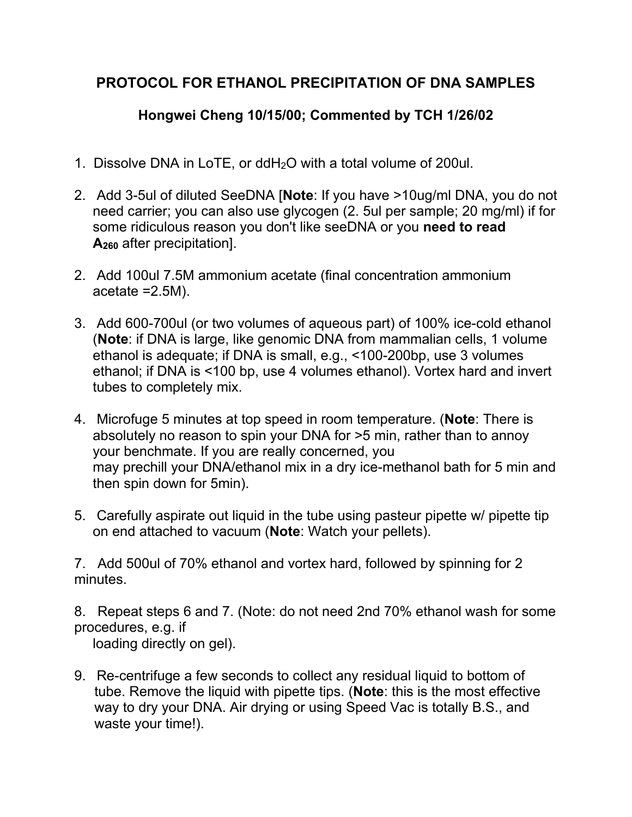## **PROTOCOL FOR ETHANOL PRECIPITATION OF DNA SAMPLES**

## **Hongwei Cheng 10/15/00; Commented by TCH 1/26/02**

- 1. Dissolve DNA in LoTE, or ddH2O with a total volume of 200ul.
- 2. Add 3-5ul of diluted SeeDNA [**Note**: If you have >10ug/ml DNA, you do not need carrier; you can also use glycogen (2. 5ul per sample; 20 mg/ml) if for some ridiculous reason you don't like seeDNA or you **need to read A260** after precipitation].
- 2. Add 100ul 7.5M ammonium acetate (final concentration ammonium acetate =2.5M).
- 3. Add 600-700ul (or two volumes of aqueous part) of 100% ice-cold ethanol (**Note**: if DNA is large, like genomic DNA from mammalian cells, 1 volume ethanol is adequate; if DNA is small, e.g., <100-200bp, use 3 volumes ethanol; if DNA is <100 bp, use 4 volumes ethanol). Vortex hard and invert tubes to completely mix.
- 4. Microfuge 5 minutes at top speed in room temperature. (**Note**: There is absolutely no reason to spin your DNA for >5 min, rather than to annoy your benchmate. If you are really concerned, you may prechill your DNA/ethanol mix in a dry ice-methanol bath for 5 min and then spin down for 5min).
- 5. Carefully aspirate out liquid in the tube using pasteur pipette w/ pipette tip on end attached to vacuum (**Note**: Watch your pellets).

7. Add 500ul of 70% ethanol and vortex hard, followed by spinning for 2 minutes.

8. Repeat steps 6 and 7. (Note: do not need 2nd 70% ethanol wash for some procedures, e.g. if

loading directly on gel).

9. Re-centrifuge a few seconds to collect any residual liquid to bottom of tube. Remove the liquid with pipette tips. (**Note**: this is the most effective way to dry your DNA. Air drying or using Speed Vac is totally B.S., and waste your time!).